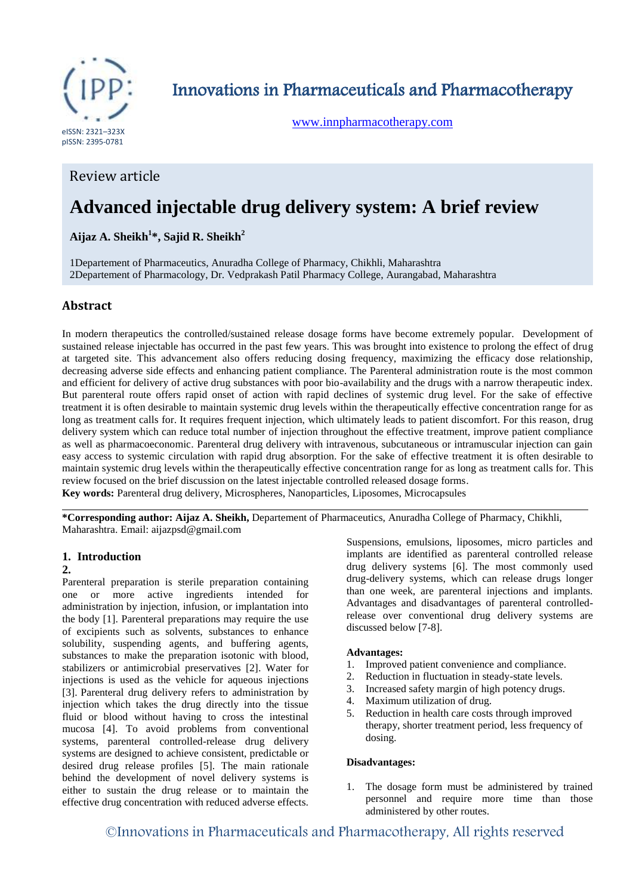

Innovations in Pharmaceuticals and Pharmacotherapy

[www.innpharmacotherapy.com](http://www.innpharmacotherapy.com/)

# Review article

# **Advanced injectable drug delivery system: A brief review**

**Aijaz A. Sheikh<sup>1</sup> \*, Sajid R. Sheikh<sup>2</sup>**

1Departement of Pharmaceutics, Anuradha College of Pharmacy, Chikhli, Maharashtra 2Departement of Pharmacology, Dr. Vedprakash Patil Pharmacy College, Aurangabad, Maharashtra

# **Abstract**

In modern therapeutics the controlled/sustained release dosage forms have become extremely popular. Development of sustained release injectable has occurred in the past few years. This was brought into existence to prolong the effect of drug at targeted site. This advancement also offers reducing dosing frequency, maximizing the efficacy dose relationship, decreasing adverse side effects and enhancing patient compliance. The Parenteral administration route is the most common and efficient for delivery of active drug substances with poor bio-availability and the drugs with a narrow therapeutic index. But parenteral route offers rapid onset of action with rapid declines of systemic drug level. For the sake of effective treatment it is often desirable to maintain systemic drug levels within the therapeutically effective concentration range for as long as treatment calls for. It requires frequent injection, which ultimately leads to patient discomfort. For this reason, drug delivery system which can reduce total number of injection throughout the effective treatment, improve patient compliance as well as pharmacoeconomic. Parenteral drug delivery with intravenous, subcutaneous or intramuscular injection can gain easy access to systemic circulation with rapid drug absorption. For the sake of effective treatment it is often desirable to maintain systemic drug levels within the therapeutically effective concentration range for as long as treatment calls for. This review focused on the brief discussion on the latest injectable controlled released dosage forms.

**Key words:** Parenteral drug delivery, Microspheres, Nanoparticles, Liposomes, Microcapsules

**\*Corresponding author: Aijaz A. Sheikh,** Departement of Pharmaceutics, Anuradha College of Pharmacy, Chikhli, Maharashtra. Email: aijazpsd@gmail.com

## **1. Introduction**

#### **2.**

Parenteral preparation is sterile preparation containing one or more active ingredients intended for administration by injection, infusion, or implantation into the body [1]. Parenteral preparations may require the use of excipients such as solvents, substances to enhance solubility, suspending agents, and buffering agents, substances to make the preparation isotonic with blood, stabilizers or antimicrobial preservatives [2]. Water for injections is used as the vehicle for aqueous injections [3]. Parenteral drug delivery refers to administration by injection which takes the drug directly into the tissue fluid or blood without having to cross the intestinal mucosa [4]. To avoid problems from conventional systems, parenteral controlled-release drug delivery systems are designed to achieve consistent, predictable or desired drug release profiles [5]. The main rationale behind the development of novel delivery systems is either to sustain the drug release or to maintain the effective drug concentration with reduced adverse effects.

Suspensions, emulsions, liposomes, micro particles and implants are identified as parenteral controlled release drug delivery systems [6]. The most commonly used drug-delivery systems, which can release drugs longer than one week, are parenteral injections and implants. Advantages and disadvantages of parenteral controlledrelease over conventional drug delivery systems are discussed below [7-8].

#### **Advantages:**

- 1. Improved patient convenience and compliance.
- 2. Reduction in fluctuation in steady-state levels.
- 3. Increased safety margin of high potency drugs.
- 4. Maximum utilization of drug.
- 5. Reduction in health care costs through improved therapy, shorter treatment period, less frequency of dosing.

#### **Disadvantages:**

1. The dosage form must be administered by trained personnel and require more time than those administered by other routes.

©Innovations in Pharmaceuticals and Pharmacotherapy, All rights reserved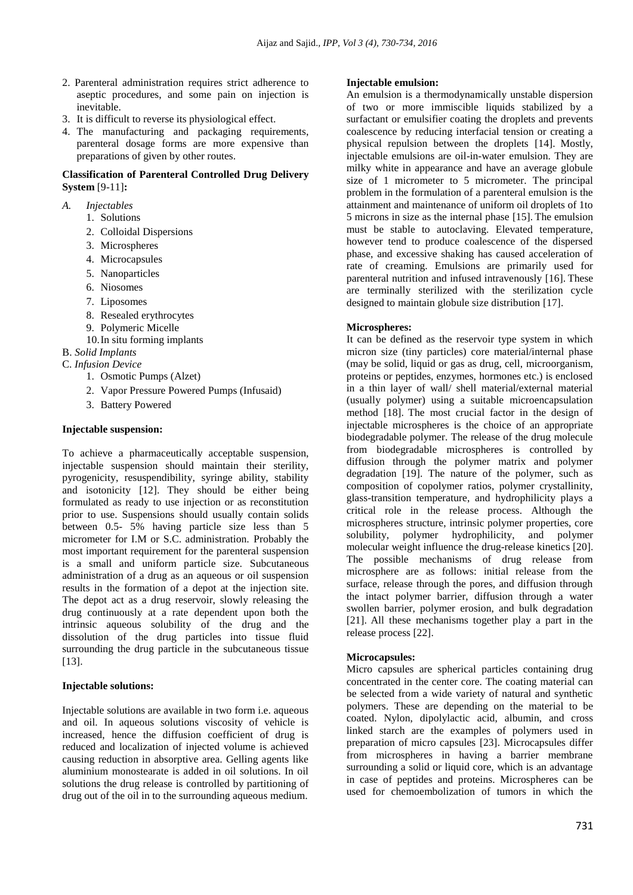- 2. Parenteral administration requires strict adherence to aseptic procedures, and some pain on injection is inevitable.
- 3. It is difficult to reverse its physiological effect.
- 4. The manufacturing and packaging requirements, parenteral dosage forms are more expensive than preparations of given by other routes.

#### **Classification of Parenteral Controlled Drug Delivery System** [9-11]**:**

- *A. Injectables*
	- 1. Solutions
	- 2. Colloidal Dispersions
	- 3. Microspheres
	- 4. Microcapsules
	- 5. Nanoparticles
	- 6. Niosomes
	- 7. Liposomes
	- 8. Resealed erythrocytes
	- 9. Polymeric Micelle
	- 10.In situ forming implants

# B. *Solid Implants*

- C. *Infusion Device*
	- 1. Osmotic Pumps (Alzet)
	- 2. Vapor Pressure Powered Pumps (Infusaid)
	- 3. Battery Powered

#### **Injectable suspension:**

To achieve a pharmaceutically acceptable suspension, injectable suspension should maintain their sterility, pyrogenicity, resuspendibility, syringe ability, stability and isotonicity [12]. They should be either being formulated as ready to use injection or as reconstitution prior to use. Suspensions should usually contain solids between 0.5- 5% having particle size less than 5 micrometer for I.M or S.C. administration. Probably the most important requirement for the parenteral suspension is a small and uniform particle size. Subcutaneous administration of a drug as an aqueous or oil suspension results in the formation of a depot at the injection site. The depot act as a drug reservoir, slowly releasing the drug continuously at a rate dependent upon both the intrinsic aqueous solubility of the drug and the dissolution of the drug particles into tissue fluid surrounding the drug particle in the subcutaneous tissue [13].

#### **Injectable solutions:**

Injectable solutions are available in two form i.e. aqueous and oil. In aqueous solutions viscosity of vehicle is increased, hence the diffusion coefficient of drug is reduced and localization of injected volume is achieved causing reduction in absorptive area. Gelling agents like aluminium monostearate is added in oil solutions. In oil solutions the drug release is controlled by partitioning of drug out of the oil in to the surrounding aqueous medium.

#### **Injectable emulsion:**

An emulsion is a thermodynamically unstable dispersion of two or more immiscible liquids stabilized by a surfactant or emulsifier coating the droplets and prevents coalescence by reducing interfacial tension or creating a physical repulsion between the droplets [14]. Mostly, injectable emulsions are oil-in-water emulsion. They are milky white in appearance and have an average globule size of 1 micrometer to 5 micrometer. The principal problem in the formulation of a parenteral emulsion is the attainment and maintenance of uniform oil droplets of 1to 5 microns in size as the internal phase [15]. The emulsion must be stable to autoclaving. Elevated temperature, however tend to produce coalescence of the dispersed phase, and excessive shaking has caused acceleration of rate of creaming. Emulsions are primarily used for parenteral nutrition and infused intravenously [16]. These are terminally sterilized with the sterilization cycle designed to maintain globule size distribution [17].

#### **Microspheres:**

It can be defined as the reservoir type system in which micron size (tiny particles) core material/internal phase (may be solid, liquid or gas as drug, cell, microorganism, proteins or peptides, enzymes, hormones etc.) is enclosed in a thin layer of wall/ shell material/external material (usually polymer) using a suitable microencapsulation method [18]. The most crucial factor in the design of injectable microspheres is the choice of an appropriate biodegradable polymer. The release of the drug molecule from biodegradable microspheres is controlled by diffusion through the polymer matrix and polymer degradation [19]. The nature of the polymer, such as composition of copolymer ratios, polymer crystallinity, glass-transition temperature, and hydrophilicity plays a critical role in the release process. Although the microspheres structure, intrinsic polymer properties, core solubility, polymer hydrophilicity, and polymer molecular weight influence the drug-release kinetics [20]. The possible mechanisms of drug release from microsphere are as follows: initial release from the surface, release through the pores, and diffusion through the intact polymer barrier, diffusion through a water swollen barrier, polymer erosion, and bulk degradation [21]. All these mechanisms together play a part in the release process [22].

#### **Microcapsules:**

Micro capsules are spherical particles containing drug concentrated in the center core. The coating material can be selected from a wide variety of natural and synthetic polymers. These are depending on the material to be coated. Nylon, dipolylactic acid, albumin, and cross linked starch are the examples of polymers used in preparation of micro capsules [23]. Microcapsules differ from microspheres in having a barrier membrane surrounding a solid or liquid core, which is an advantage in case of peptides and proteins. Microspheres can be used for chemoembolization of tumors in which the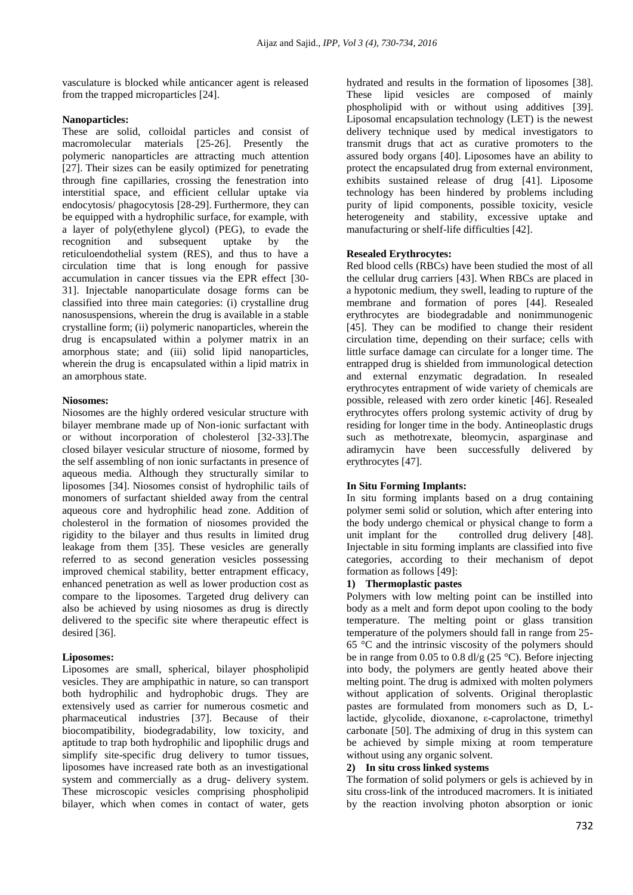vasculature is blocked while anticancer agent is released from the trapped microparticles [24].

### **Nanoparticles:**

These are solid, colloidal particles and consist of macromolecular materials [25-26]. Presently the polymeric nanoparticles are attracting much attention [27]. Their sizes can be easily optimized for penetrating through fine capillaries, crossing the fenestration into interstitial space, and efficient cellular uptake via endocytosis/ phagocytosis [28-29]. Furthermore, they can be equipped with a hydrophilic surface, for example, with a layer of poly(ethylene glycol) (PEG), to evade the recognition and subsequent uptake by the reticuloendothelial system (RES), and thus to have a circulation time that is long enough for passive accumulation in cancer tissues via the EPR effect [30- 31]. Injectable nanoparticulate dosage forms can be classified into three main categories: (i) crystalline drug nanosuspensions, wherein the drug is available in a stable crystalline form; (ii) polymeric nanoparticles, wherein the drug is encapsulated within a polymer matrix in an amorphous state; and (iii) solid lipid nanoparticles, wherein the drug is encapsulated within a lipid matrix in an amorphous state.

#### **Niosomes:**

Niosomes are the highly ordered vesicular structure with bilayer membrane made up of Non-ionic surfactant with or without incorporation of cholesterol [32-33].The closed bilayer vesicular structure of niosome, formed by the self assembling of non ionic surfactants in presence of aqueous media. Although they structurally similar to liposomes [34]. Niosomes consist of hydrophilic tails of monomers of surfactant shielded away from the central aqueous core and hydrophilic head zone. Addition of cholesterol in the formation of niosomes provided the rigidity to the bilayer and thus results in limited drug leakage from them [35]. These vesicles are generally referred to as second generation vesicles possessing improved chemical stability, better entrapment efficacy, enhanced penetration as well as lower production cost as compare to the liposomes. Targeted drug delivery can also be achieved by using niosomes as drug is directly delivered to the specific site where therapeutic effect is desired [36].

## **Liposomes:**

Liposomes are small, spherical, bilayer phospholipid vesicles. They are amphipathic in nature, so can transport both hydrophilic and hydrophobic drugs. They are extensively used as carrier for numerous cosmetic and pharmaceutical industries [37]. Because of their biocompatibility, biodegradability, low toxicity, and aptitude to trap both hydrophilic and lipophilic drugs and simplify site-specific drug delivery to tumor tissues, liposomes have increased rate both as an investigational system and commercially as a drug- delivery system. These microscopic vesicles comprising phospholipid bilayer, which when comes in contact of water, gets

hydrated and results in the formation of liposomes [38]. These lipid vesicles are composed of mainly phospholipid with or without using additives [39]. Liposomal encapsulation technology (LET) is the newest delivery technique used by medical investigators to transmit drugs that act as curative promoters to the assured body organs [40]. Liposomes have an ability to protect the encapsulated drug from external environment, exhibits sustained release of drug [41]. Liposome technology has been hindered by problems including purity of lipid components, possible toxicity, vesicle heterogeneity and stability, excessive uptake and manufacturing or shelf-life difficulties [42].

## **Resealed Erythrocytes:**

Red blood cells (RBCs) have been studied the most of all the cellular drug carriers [43]. When RBCs are placed in a hypotonic medium, they swell, leading to rupture of the membrane and formation of pores [44]. Resealed erythrocytes are biodegradable and nonimmunogenic [45]. They can be modified to change their resident circulation time, depending on their surface; cells with little surface damage can circulate for a longer time. The entrapped drug is shielded from immunological detection and external enzymatic degradation. In resealed erythrocytes entrapment of wide variety of chemicals are possible, released with zero order kinetic [46]. Resealed erythrocytes offers prolong systemic activity of drug by residing for longer time in the body. Antineoplastic drugs such as methotrexate, bleomycin, asparginase and adiramycin have been successfully delivered by erythrocytes [47].

#### **In Situ Forming Implants:**

In situ forming implants based on a drug containing polymer semi solid or solution, which after entering into the body undergo chemical or physical change to form a unit implant for the controlled drug delivery [48]. Injectable in situ forming implants are classified into five categories, according to their mechanism of depot formation as follows [49]:

#### **1) Thermoplastic pastes**

Polymers with low melting point can be instilled into body as a melt and form depot upon cooling to the body temperature. The melting point or glass transition temperature of the polymers should fall in range from 25- 65 °C and the intrinsic viscosity of the polymers should be in range from 0.05 to 0.8 dl/g (25  $\degree$ C). Before injecting into body, the polymers are gently heated above their melting point. The drug is admixed with molten polymers without application of solvents. Original theroplastic pastes are formulated from monomers such as D, Llactide, glycolide, dioxanone, ε-caprolactone, trimethyl carbonate [50]. The admixing of drug in this system can be achieved by simple mixing at room temperature without using any organic solvent.

#### **2) In situ cross linked systems**

The formation of solid polymers or gels is achieved by in situ cross-link of the introduced macromers. It is initiated by the reaction involving photon absorption or ionic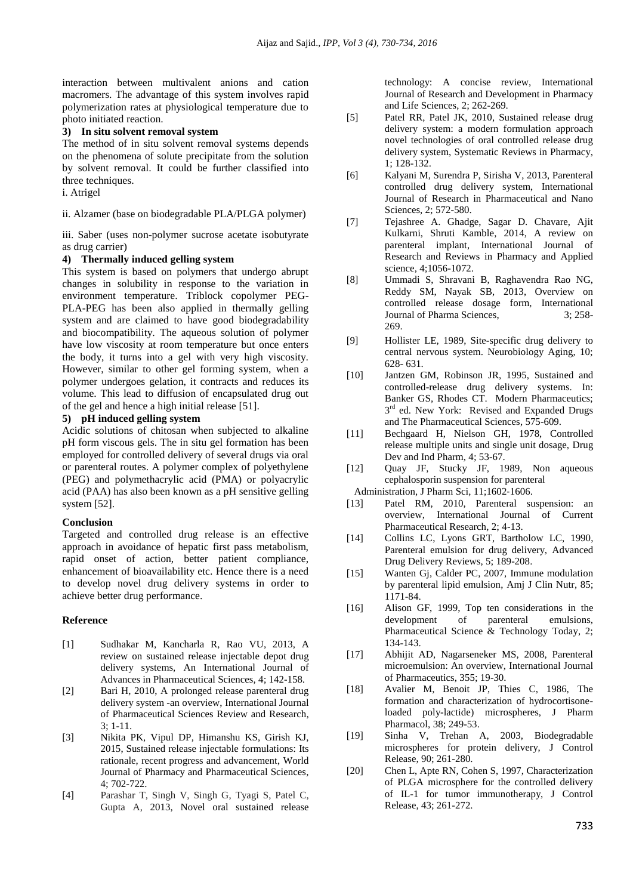interaction between multivalent anions and cation macromers. The advantage of this system involves rapid polymerization rates at physiological temperature due to photo initiated reaction.

#### **3) In situ solvent removal system**

The method of in situ solvent removal systems depends on the phenomena of solute precipitate from the solution by solvent removal. It could be further classified into three techniques.

## i. Atrigel

ii. Alzamer (base on biodegradable PLA/PLGA polymer)

iii. Saber (uses non-polymer sucrose acetate isobutyrate as drug carrier)

#### **4) Thermally induced gelling system**

This system is based on polymers that undergo abrupt changes in solubility in response to the variation in environment temperature. Triblock copolymer PEG-PLA-PEG has been also applied in thermally gelling system and are claimed to have good biodegradability and biocompatibility. The aqueous solution of polymer have low viscosity at room temperature but once enters the body, it turns into a gel with very high viscosity. However, similar to other gel forming system, when a polymer undergoes gelation, it contracts and reduces its volume. This lead to diffusion of encapsulated drug out of the gel and hence a high initial release [51].

#### **5) pH induced gelling system**

Acidic solutions of chitosan when subjected to alkaline pH form viscous gels. The in situ gel formation has been employed for controlled delivery of several drugs via oral or parenteral routes. A polymer complex of polyethylene (PEG) and polymethacrylic acid (PMA) or polyacrylic acid (PAA) has also been known as a pH sensitive gelling system [52].

#### **Conclusion**

Targeted and controlled drug release is an effective approach in avoidance of hepatic first pass metabolism, rapid onset of action, better patient compliance, enhancement of bioavailability etc. Hence there is a need to develop novel drug delivery systems in order to achieve better drug performance.

#### **Reference**

- [1] Sudhakar M, Kancharla R, Rao VU, 2013, A review on sustained release injectable depot drug delivery systems, An International Journal of Advances in Pharmaceutical Sciences, 4; 142-158.
- [2] Bari H, 2010, A prolonged release parenteral drug delivery system -an overview, International Journal of Pharmaceutical Sciences Review and Research,  $3:1-11$ .
- [3] Nikita PK, Vipul DP, Himanshu KS, Girish KJ, 2015, Sustained release injectable formulations: Its rationale, recent progress and advancement, World Journal of Pharmacy and Pharmaceutical Sciences, 4; 702-722.
- [4] Parashar T, Singh V, Singh G, Tyagi S, Patel C, Gupta A, 2013, Novel oral sustained release

technology: A concise review, International Journal of Research and Development in Pharmacy and Life Sciences, 2; 262-269.

- [5] Patel RR, Patel JK, 2010, Sustained release drug delivery system: a modern formulation approach novel technologies of oral controlled release drug delivery system, Systematic Reviews in Pharmacy, 1; 128-132.
- [6] Kalyani M, Surendra P, Sirisha V, 2013, Parenteral controlled drug delivery system, International Journal of Research in Pharmaceutical and Nano Sciences, 2; 572-580.
- [7] Tejashree A. Ghadge, Sagar D. Chavare, Ajit Kulkarni, Shruti Kamble, 2014, A review on parenteral implant, International Journal of Research and Reviews in Pharmacy and Applied science, 4;1056-1072.
- [8] Ummadi S, Shravani B, Raghavendra Rao NG, Reddy SM, Nayak SB, 2013, Overview on controlled release dosage form, International Journal of Pharma Sciences,  $\frac{3}{258}$ -269.
- [9] Hollister LE, 1989, Site-specific drug delivery to central nervous system. Neurobiology Aging, 10; 628- 631.
- [10] Jantzen GM, Robinson JR, 1995, Sustained and controlled-release drug delivery systems. In: Banker GS, Rhodes CT. Modern Pharmaceutics;  $3<sup>rd</sup>$  ed. New York: Revised and Expanded Drugs and The Pharmaceutical Sciences, 575-609.
- [11] Bechgaard H, Nielson GH, 1978, Controlled release multiple units and single unit dosage, Drug Dev and Ind Pharm, 4; 53-67.
- [12] Quay JF, Stucky JF, 1989, Non aqueous cephalosporin suspension for parenteral Administration, J Pharm Sci, 11;1602-1606.
- [13] Patel RM, 2010, Parenteral suspension: an overview, International Journal of Current Pharmaceutical Research, 2; 4-13.
- [14] Collins LC, Lyons GRT, Bartholow LC, 1990, Parenteral emulsion for drug delivery, Advanced Drug Delivery Reviews, 5; 189-208.
- [15] Wanten Gj, Calder PC, 2007, Immune modulation by parenteral lipid emulsion, Amj J Clin Nutr, 85; 1171-84.
- [16] Alison GF, 1999, Top ten considerations in the development of parenteral emulsions, Pharmaceutical Science & Technology Today, 2; 134-143.
- [17] Abhijit AD, Nagarseneker MS, 2008, Parenteral microemulsion: An overview, International Journal of Pharmaceutics, 355; 19-30.
- [18] Avalier M, Benoit JP, Thies C, 1986, The formation and characterization of hydrocortisoneloaded poly-lactide) microspheres, J Pharm Pharmacol, 38; 249-53.
- [19] Sinha V, Trehan A, 2003, Biodegradable microspheres for protein delivery, J Control Release, 90; 261-280.
- [20] Chen L, Apte RN, Cohen S, 1997, Characterization of PLGA microsphere for the controlled delivery of IL-1 for tumor immunotherapy, J Control Release, 43; 261-272.